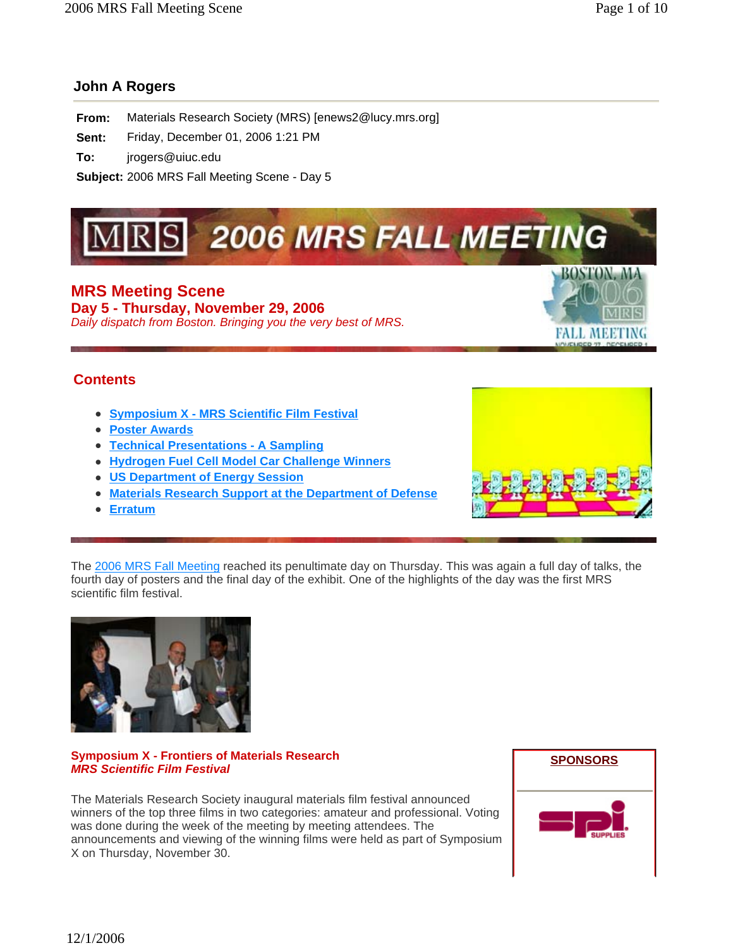# **John A Rogers**

**From:** Materials Research Society (MRS) [enews2@lucy.mrs.org]

**Sent:** Friday, December 01, 2006 1:21 PM

**To:** jrogers@uiuc.edu

**Subject:** 2006 MRS Fall Meeting Scene - Day 5

# **2006 MRS FALL MEETING**

**MRS Meeting Scene Day 5 - Thursday, November 29, 2006**  *Daily dispatch from Boston. Bringing you the very best of MRS.*



# **Contents**

- <sup>z</sup> **Symposium X MRS Scientific Film Festival**
- **Poster Awards**
- **Technical Presentations A Sampling**
- **Hydrogen Fuel Cell Model Car Challenge Winners**
- **US Department of Energy Session**
- **Materials Research Support at the Department of Defense**
- <sup>z</sup> **Erratum**



The 2006 MRS Fall Meeting reached its penultimate day on Thursday. This was again a full day of talks, the fourth day of posters and the final day of the exhibit. One of the highlights of the day was the first MRS scientific film festival.



# **Symposium X - Frontiers of Materials Research**  *MRS Scientific Film Festival*

The Materials Research Society inaugural materials film festival announced winners of the top three films in two categories: amateur and professional. Voting was done during the week of the meeting by meeting attendees. The announcements and viewing of the winning films were held as part of Symposium X on Thursday, November 30.

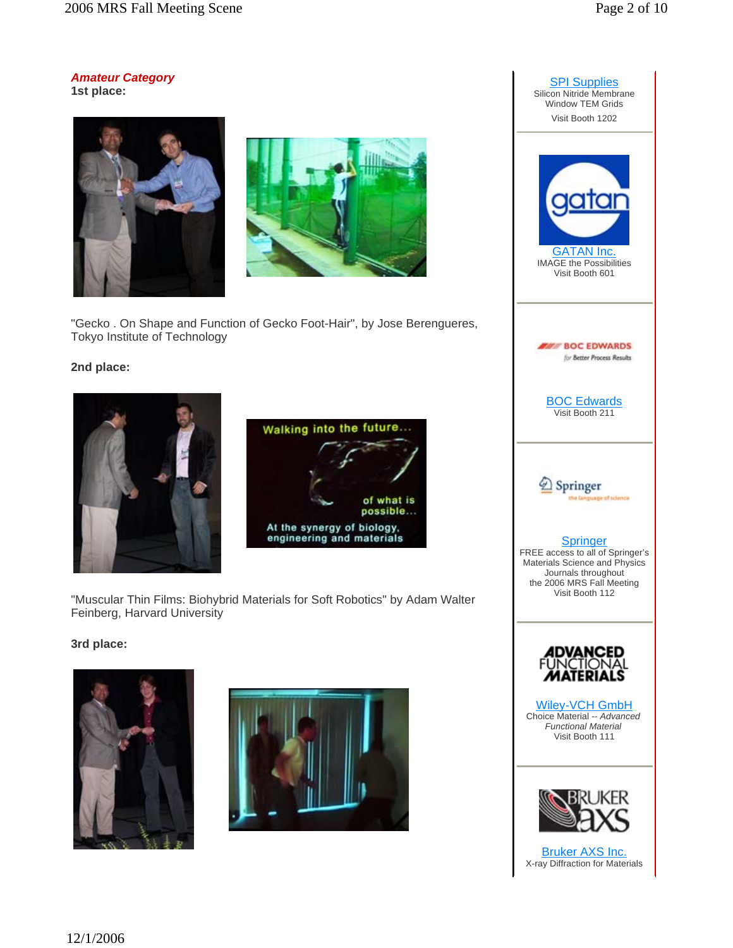*Amateur Category*  **1st place:**





"Gecko . On Shape and Function of Gecko Foot-Hair", by Jose Berengueres, Tokyo Institute of Technology

# **2nd place:**





"Muscular Thin Films: Biohybrid Materials for Soft Robotics" by Adam Walter Feinberg, Harvard University

# **3rd place:**





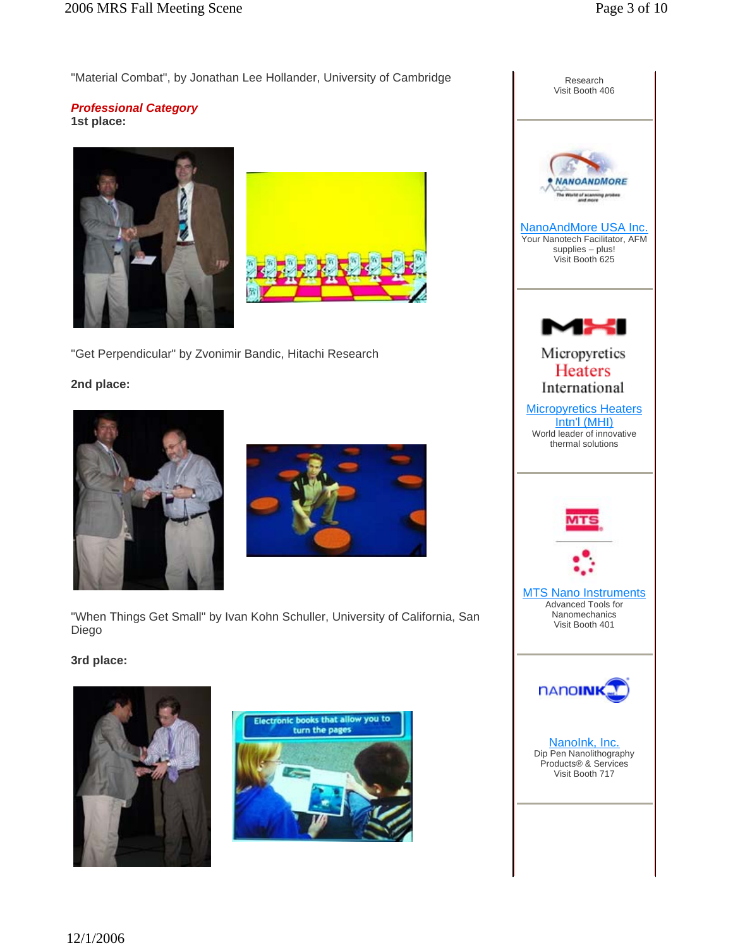"Material Combat", by Jonathan Lee Hollander, University of Cambridge

#### *Professional Category* **1st place:**





"Get Perpendicular" by Zvonimir Bandic, Hitachi Research

# **2nd place:**





"When Things Get Small" by Ivan Kohn Schuller, University of California, San Diego

# **3rd place:**